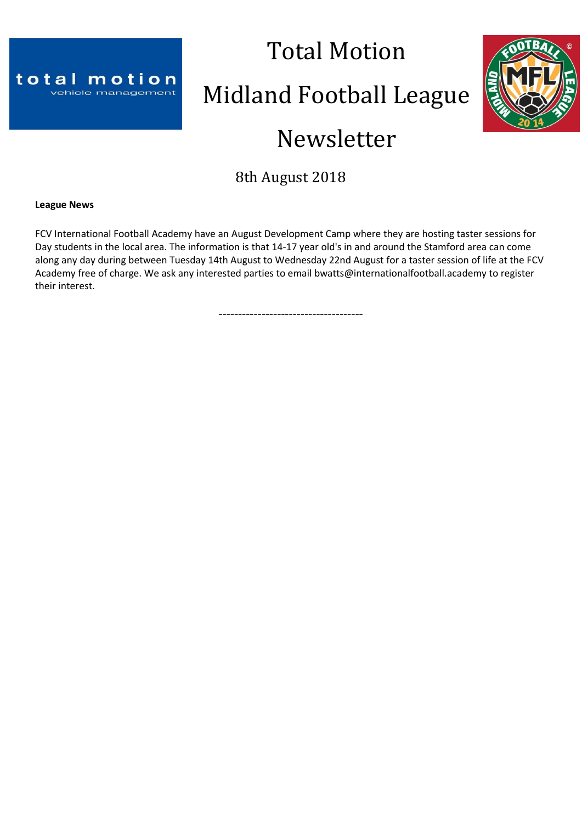

# Total Motion Midland Football League



# Newsletter

8th August 2018

**League News**

FCV International Football Academy have an August Development Camp where they are hosting taster sessions for Day students in the local area. The information is that 14-17 year old's in and around the Stamford area can come along any day during between Tuesday 14th August to Wednesday 22nd August for a taster session of life at the FCV Academy free of charge. We ask any interested parties to email bwatts@internationalfootball.academy to register their interest.

-------------------------------------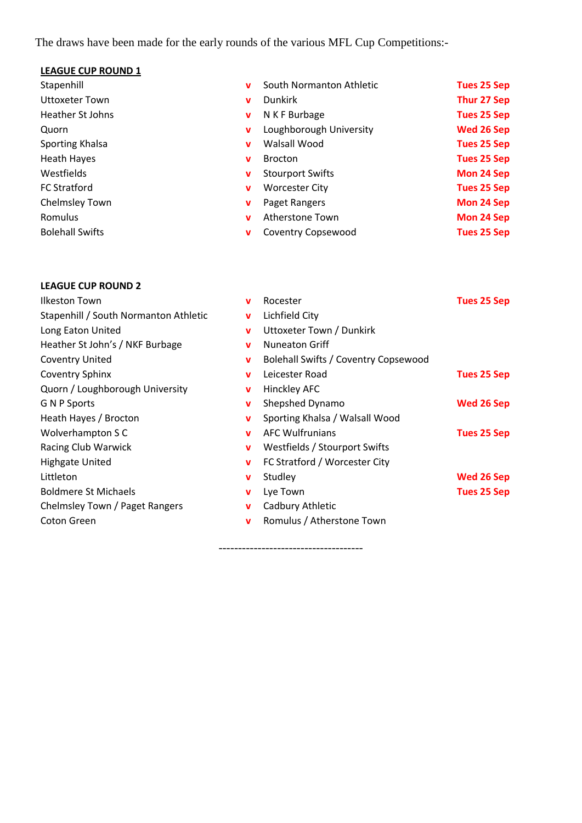The draws have been made for the early rounds of the various MFL Cup Competitions:-

# **LEAGUE CUP ROUND 1**

| Stapenhill             |              | South Normanton Athletic  | <b>Tues 25 Sep</b> |
|------------------------|--------------|---------------------------|--------------------|
| <b>Uttoxeter Town</b>  | v            | <b>Dunkirk</b>            | <b>Thur 27 Sep</b> |
| Heather St Johns       | v            | N K F Burbage             | <b>Tues 25 Sep</b> |
| Quorn                  | v            | Loughborough University   | Wed 26 Sep         |
| Sporting Khalsa        | $\mathbf{v}$ | Walsall Wood              | <b>Tues 25 Sep</b> |
| <b>Heath Hayes</b>     | v            | <b>Brocton</b>            | <b>Tues 25 Sep</b> |
| Westfields             | v            | <b>Stourport Swifts</b>   | <b>Mon 24 Sep</b>  |
| <b>FC Stratford</b>    | v            | <b>Worcester City</b>     | <b>Tues 25 Sep</b> |
| Chelmsley Town         | v            | Paget Rangers             | <b>Mon 24 Sep</b>  |
| Romulus                | $\mathbf{v}$ | Atherstone Town           | <b>Mon 24 Sep</b>  |
| <b>Bolehall Swifts</b> | v            | <b>Coventry Copsewood</b> | <b>Tues 25 Sep</b> |
|                        |              |                           |                    |

# **LEAGUE CUP ROUND 2**

**Ilkeston Town** 

| Ilkeston Town                         | v           | Rocester                             | Tues 25 Sep |
|---------------------------------------|-------------|--------------------------------------|-------------|
| Stapenhill / South Normanton Athletic | $\mathbf v$ | Lichfield City                       |             |
| Long Eaton United                     | $\mathbf v$ | Uttoxeter Town / Dunkirk             |             |
| Heather St John's / NKF Burbage       | $\mathbf v$ | <b>Nuneaton Griff</b>                |             |
| <b>Coventry United</b>                | $\mathbf v$ | Bolehall Swifts / Coventry Copsewood |             |
| Coventry Sphinx                       | $\mathbf v$ | Leicester Road                       | Tues 25 Sep |
| Quorn / Loughborough University       | $\mathbf v$ | Hinckley AFC                         |             |
| <b>G N P Sports</b>                   | $\mathbf v$ | Shepshed Dynamo                      | Wed 26 Sep  |
| Heath Hayes / Brocton                 | v           | Sporting Khalsa / Walsall Wood       |             |
| Wolverhampton S C                     | $\mathbf v$ | <b>AFC Wulfrunians</b>               | Tues 25 Sep |
| Racing Club Warwick                   | v           | Westfields / Stourport Swifts        |             |
| <b>Highgate United</b>                | v           | FC Stratford / Worcester City        |             |
| Littleton                             | v           | Studley                              | Wed 26 Sep  |
| <b>Boldmere St Michaels</b>           | $\mathbf v$ | Lye Town                             | Tues 25 Sep |
| Chelmsley Town / Paget Rangers        | v           | Cadbury Athletic                     |             |
| Coton Green                           | $\mathbf v$ | Romulus / Atherstone Town            |             |
|                                       |             |                                      |             |

-------------------------------------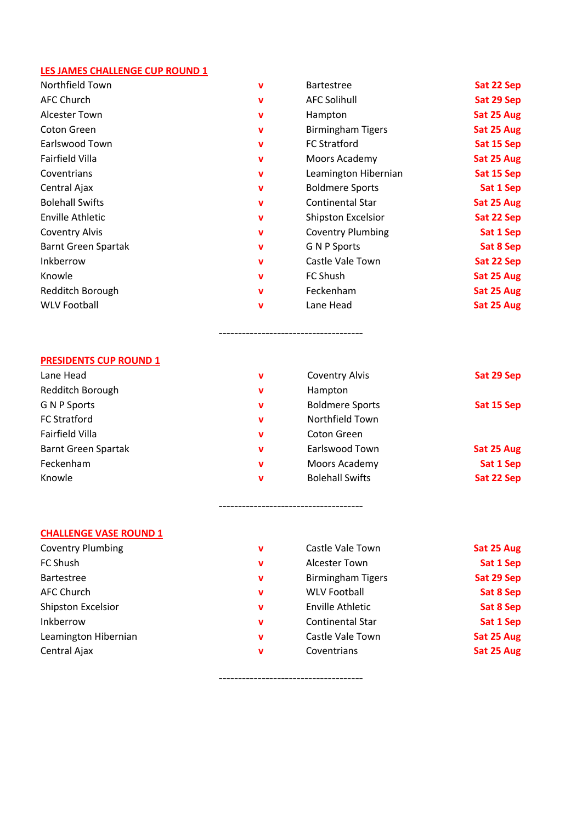# **LES JAMES CHALLENGE CUP ROUND 1**

| Northfield Town            | v           | <b>Bartestree</b>         | Sat 22 Sep |
|----------------------------|-------------|---------------------------|------------|
| <b>AFC Church</b>          | v           | <b>AFC Solihull</b>       | Sat 29 Sep |
| <b>Alcester Town</b>       | v           | Hampton                   | Sat 25 Aug |
| Coton Green                | v           | <b>Birmingham Tigers</b>  | Sat 25 Aug |
| Earlswood Town             | v           | <b>FC Stratford</b>       | Sat 15 Sep |
| Fairfield Villa            | $\mathbf v$ | Moors Academy             | Sat 25 Aug |
| Coventrians                | v           | Leamington Hibernian      | Sat 15 Sep |
| Central Ajax               | v           | <b>Boldmere Sports</b>    | Sat 1 Sep  |
| <b>Bolehall Swifts</b>     | $\mathbf v$ | <b>Continental Star</b>   | Sat 25 Aug |
| <b>Enville Athletic</b>    | $\mathbf v$ | <b>Shipston Excelsior</b> | Sat 22 Sep |
| <b>Coventry Alvis</b>      | v           | <b>Coventry Plumbing</b>  | Sat 1 Sep  |
| <b>Barnt Green Spartak</b> | $\mathbf v$ | <b>G N P Sports</b>       | Sat 8 Sep  |
| Inkberrow                  | $\mathbf v$ | Castle Vale Town          | Sat 22 Sep |
| Knowle                     | v           | FC Shush                  | Sat 25 Aug |
| Redditch Borough           | v           | Feckenham                 | Sat 25 Aug |
| <b>WLV Football</b>        | v           | Lane Head                 | Sat 25 Aug |

#### **PRESIDENTS CUP ROUND 1**

| Lane Head                  | v | <b>Coventry Alvis</b>  | Sat 29 Sep |
|----------------------------|---|------------------------|------------|
| Redditch Borough           | v | Hampton                |            |
| G N P Sports               | v | <b>Boldmere Sports</b> | Sat 15 Sep |
| <b>FC Stratford</b>        | v | Northfield Town        |            |
| Fairfield Villa            | v | <b>Coton Green</b>     |            |
| <b>Barnt Green Spartak</b> | v | Earlswood Town         | Sat 25 Aug |
| Feckenham                  | v | Moors Academy          | Sat 1 Sep  |
| Knowle                     | v | <b>Bolehall Swifts</b> | Sat 22 Sep |

-------------------------------------

-------------------------------------

-------------------------------------

# **CHALLENGE VASE ROUND 1**<br>Coventry Plumbing

| Coventry Plumbing         |
|---------------------------|
| <b>FC Shush</b>           |
| <b>Bartestree</b>         |
| AFC Church                |
| <b>Shipston Excelsior</b> |
| Inkberrow                 |
| Leamington Hibernian      |
| Central Ajax              |
|                           |

| <b>Coventry Plumbing</b>  | v | Castle Vale Town         | Sat 25 Aug |
|---------------------------|---|--------------------------|------------|
| FC Shush                  | v | <b>Alcester Town</b>     | Sat 1 Sep  |
| <b>Bartestree</b>         | v | <b>Birmingham Tigers</b> | Sat 29 Sep |
| AFC Church                | v | <b>WLV Football</b>      | Sat 8 Sep  |
| <b>Shipston Excelsior</b> | v | <b>Enville Athletic</b>  | Sat 8 Sep  |
| Inkberrow                 | v | <b>Continental Star</b>  | Sat 1 Sep  |
| Leamington Hibernian      | v | Castle Vale Town         | Sat 25 Aug |
| Central Ajax              | v | Coventrians              | Sat 25 Aug |
|                           |   |                          |            |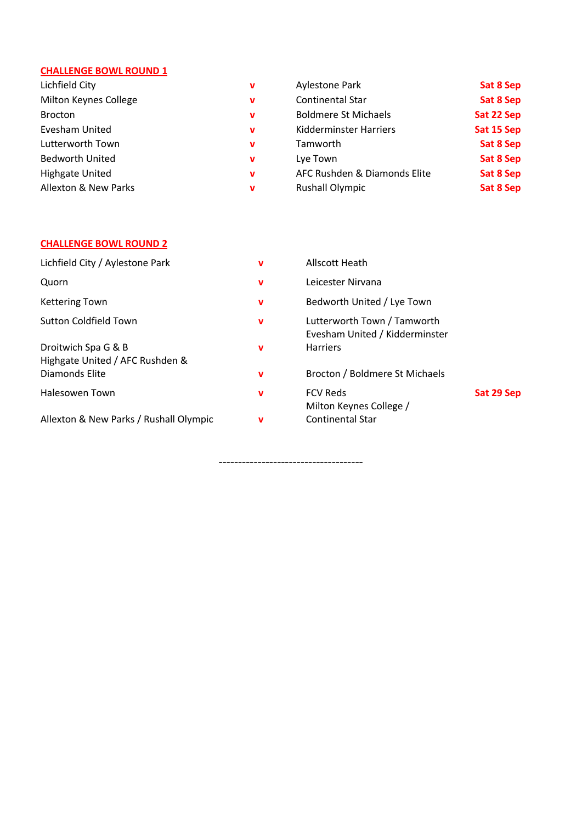# **CHALLENGE BOWL ROUND 1**

| Lichfield City         | v | <b>Aylestone Park</b>        | Sat 8 Sep  |
|------------------------|---|------------------------------|------------|
| Milton Keynes College  | v | <b>Continental Star</b>      | Sat 8 Sep  |
| <b>Brocton</b>         | v | <b>Boldmere St Michaels</b>  | Sat 22 Sep |
| Evesham United         | v | Kidderminster Harriers       | Sat 15 Sep |
| Lutterworth Town       | v | Tamworth                     | Sat 8 Sep  |
| <b>Bedworth United</b> | v | Lye Town                     | Sat 8 Sep  |
| <b>Highgate United</b> | v | AFC Rushden & Diamonds Elite | Sat 8 Sep  |
| Allexton & New Parks   | v | <b>Rushall Olympic</b>       | Sat 8 Sep  |

# **CHALLENGE BOWL ROUND 2**

| Lichfield City / Aylestone Park                        | v | Allscott Heath                                                |            |
|--------------------------------------------------------|---|---------------------------------------------------------------|------------|
| Quorn                                                  | v | Leicester Nirvana                                             |            |
| <b>Kettering Town</b>                                  | v | Bedworth United / Lye Town                                    |            |
| <b>Sutton Coldfield Town</b>                           | v | Lutterworth Town / Tamworth<br>Evesham United / Kidderminster |            |
| Droitwich Spa G & B<br>Highgate United / AFC Rushden & | v | <b>Harriers</b>                                               |            |
| Diamonds Elite                                         | v | Brocton / Boldmere St Michaels                                |            |
| Halesowen Town                                         | v | <b>FCV Reds</b><br>Milton Keynes College /                    | Sat 29 Sep |
| Allexton & New Parks / Rushall Olympic                 | v | <b>Continental Star</b>                                       |            |

-------------------------------------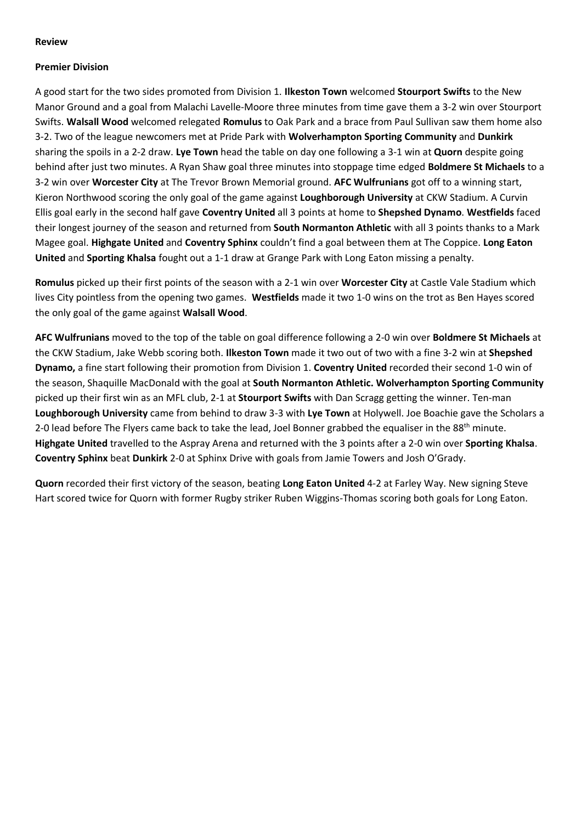#### **Review**

#### **Premier Division**

A good start for the two sides promoted from Division 1. **Ilkeston Town** welcomed **Stourport Swifts** to the New Manor Ground and a goal from Malachi Lavelle-Moore three minutes from time gave them a 3-2 win over Stourport Swifts. **Walsall Wood** welcomed relegated **Romulus** to Oak Park and a brace from Paul Sullivan saw them home also 3-2. Two of the league newcomers met at Pride Park with **Wolverhampton Sporting Community** and **Dunkirk** sharing the spoils in a 2-2 draw. **Lye Town** head the table on day one following a 3-1 win at **Quorn** despite going behind after just two minutes. A Ryan Shaw goal three minutes into stoppage time edged **Boldmere St Michaels** to a 3-2 win over **Worcester City** at The Trevor Brown Memorial ground. **AFC Wulfrunians** got off to a winning start, Kieron Northwood scoring the only goal of the game against **Loughborough University** at CKW Stadium. A Curvin Ellis goal early in the second half gave **Coventry United** all 3 points at home to **Shepshed Dynamo**. **Westfields** faced their longest journey of the season and returned from **South Normanton Athletic** with all 3 points thanks to a Mark Magee goal. **Highgate United** and **Coventry Sphinx** couldn't find a goal between them at The Coppice. **Long Eaton United** and **Sporting Khalsa** fought out a 1-1 draw at Grange Park with Long Eaton missing a penalty.

**Romulus** picked up their first points of the season with a 2-1 win over **Worcester City** at Castle Vale Stadium which lives City pointless from the opening two games. **Westfields** made it two 1-0 wins on the trot as Ben Hayes scored the only goal of the game against **Walsall Wood**.

**AFC Wulfrunians** moved to the top of the table on goal difference following a 2-0 win over **Boldmere St Michaels** at the CKW Stadium, Jake Webb scoring both. **Ilkeston Town** made it two out of two with a fine 3-2 win at **Shepshed Dynamo,** a fine start following their promotion from Division 1. **Coventry United** recorded their second 1-0 win of the season, Shaquille MacDonald with the goal at **South Normanton Athletic. Wolverhampton Sporting Community** picked up their first win as an MFL club, 2-1 at **Stourport Swifts** with Dan Scragg getting the winner. Ten-man **Loughborough University** came from behind to draw 3-3 with **Lye Town** at Holywell. Joe Boachie gave the Scholars a 2-0 lead before The Flyers came back to take the lead, Joel Bonner grabbed the equaliser in the 88<sup>th</sup> minute. **Highgate United** travelled to the Aspray Arena and returned with the 3 points after a 2-0 win over **Sporting Khalsa**. **Coventry Sphinx** beat **Dunkirk** 2-0 at Sphinx Drive with goals from Jamie Towers and Josh O'Grady.

**Quorn** recorded their first victory of the season, beating **Long Eaton United** 4-2 at Farley Way. New signing Steve Hart scored twice for Quorn with former Rugby striker Ruben Wiggins-Thomas scoring both goals for Long Eaton.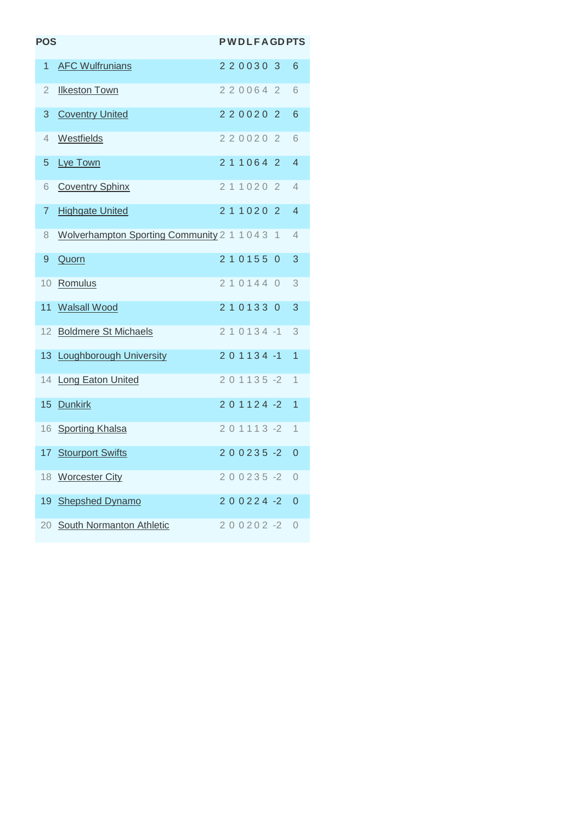| <b>POS</b>      |                                                |  |  |         | <b>PWDLFAGDPTS</b> |                |
|-----------------|------------------------------------------------|--|--|---------|--------------------|----------------|
| 1               | <b>AFC Wulfrunians</b>                         |  |  |         | 2200303            | 6              |
| $\overline{2}$  | <b>Ilkeston Town</b>                           |  |  | 2200642 |                    | 6              |
| 3               | <b>Coventry United</b>                         |  |  | 2200202 |                    | 6              |
| 4               | Westfields                                     |  |  | 2200202 |                    | 6              |
| 5               | Lye Town                                       |  |  | 2110642 |                    | 4              |
| 6               | <b>Coventry Sphinx</b>                         |  |  | 2110202 |                    | 4              |
| 7               | <b>Highgate United</b>                         |  |  | 2110202 |                    | 4              |
| 8               | Wolverhampton Sporting Community 2 1 1 0 4 3 1 |  |  |         |                    | 4              |
| 9               | Quorn                                          |  |  | 2101550 |                    | 3              |
| 10 <sup>°</sup> | Romulus                                        |  |  | 2101440 |                    | 3              |
| 11              | <b>Walsall Wood</b>                            |  |  | 2101330 |                    | 3              |
| 12 <sup>2</sup> | <b>Boldmere St Michaels</b>                    |  |  |         | $210134 - 1$       | 3              |
|                 | 13 Loughborough University                     |  |  |         | $201134 - 1$       | $\overline{1}$ |
|                 | 14 Long Eaton United                           |  |  |         | $201135 - 2$       | 1              |
|                 | 15 Dunkirk                                     |  |  |         | $201124 - 2$       | $\overline{1}$ |
|                 | 16 Sporting Khalsa                             |  |  |         | 201113-2           | 1              |
|                 | 17 Stourport Swifts                            |  |  |         | $200235 - 2$       | $\overline{0}$ |
|                 | 18 Worcester City                              |  |  |         | $200235 - 2$       | $\overline{0}$ |
|                 | 19 Shepshed Dynamo                             |  |  |         | $200224 - 2$       | 0              |
|                 | 20 South Normanton Athletic                    |  |  |         | $200202 -2$        | 0              |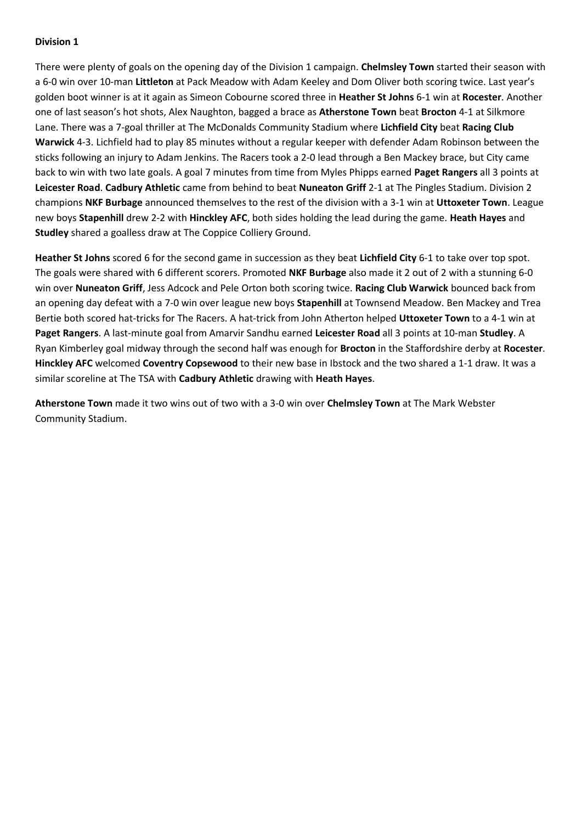#### **Division 1**

There were plenty of goals on the opening day of the Division 1 campaign. **Chelmsley Town** started their season with a 6-0 win over 10-man **Littleton** at Pack Meadow with Adam Keeley and Dom Oliver both scoring twice. Last year's golden boot winner is at it again as Simeon Cobourne scored three in **Heather St Johns** 6-1 win at **Rocester**. Another one of last season's hot shots, Alex Naughton, bagged a brace as **Atherstone Town** beat **Brocton** 4-1 at Silkmore Lane. There was a 7-goal thriller at The McDonalds Community Stadium where **Lichfield City** beat **Racing Club Warwick** 4-3. Lichfield had to play 85 minutes without a regular keeper with defender Adam Robinson between the sticks following an injury to Adam Jenkins. The Racers took a 2-0 lead through a Ben Mackey brace, but City came back to win with two late goals. A goal 7 minutes from time from Myles Phipps earned **Paget Rangers** all 3 points at **Leicester Road**. **Cadbury Athletic** came from behind to beat **Nuneaton Griff** 2-1 at The Pingles Stadium. Division 2 champions **NKF Burbage** announced themselves to the rest of the division with a 3-1 win at **Uttoxeter Town**. League new boys **Stapenhill** drew 2-2 with **Hinckley AFC**, both sides holding the lead during the game. **Heath Hayes** and **Studley** shared a goalless draw at The Coppice Colliery Ground.

**Heather St Johns** scored 6 for the second game in succession as they beat **Lichfield City** 6-1 to take over top spot. The goals were shared with 6 different scorers. Promoted **NKF Burbage** also made it 2 out of 2 with a stunning 6-0 win over **Nuneaton Griff**, Jess Adcock and Pele Orton both scoring twice. **Racing Club Warwick** bounced back from an opening day defeat with a 7-0 win over league new boys **Stapenhill** at Townsend Meadow. Ben Mackey and Trea Bertie both scored hat-tricks for The Racers. A hat-trick from John Atherton helped **Uttoxeter Town** to a 4-1 win at **Paget Rangers**. A last-minute goal from Amarvir Sandhu earned **Leicester Road** all 3 points at 10-man **Studley**. A Ryan Kimberley goal midway through the second half was enough for **Brocton** in the Staffordshire derby at **Rocester**. **Hinckley AFC** welcomed **Coventry Copsewood** to their new base in Ibstock and the two shared a 1-1 draw. It was a similar scoreline at The TSA with **Cadbury Athletic** drawing with **Heath Hayes**.

**Atherstone Town** made it two wins out of two with a 3-0 win over **Chelmsley Town** at The Mark Webster Community Stadium.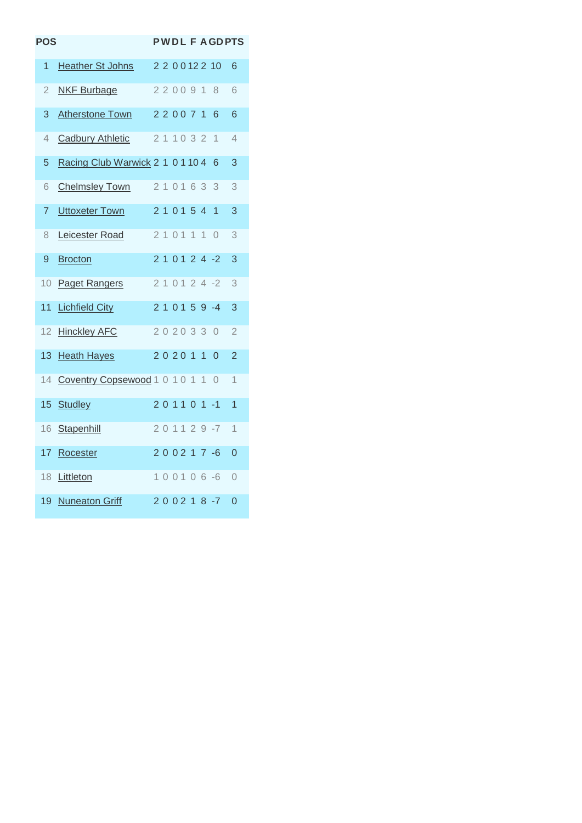| <b>POS</b> |                                  |       |  |        |                |                  | <b>PWDLFAGDPTS</b> |
|------------|----------------------------------|-------|--|--------|----------------|------------------|--------------------|
| 1          | Heather St Johns                 |       |  |        |                | 2 2 0 0 1 2 2 10 | 6                  |
| 2          | <b>NKF Burbage</b>               |       |  | 220091 |                | 8                | 6                  |
| 3          | <b>Atherstone Town</b>           |       |  | 220071 |                | 6                | 6                  |
| 4          | <b>Cadbury Athletic</b>          |       |  | 211032 |                | 1                | $\overline{4}$     |
| 5          | Racing Club Warwick 2 1 0 1 10 4 |       |  |        |                | 6                | 3                  |
| 6          | <b>Chelmsley Town</b>            |       |  | 210163 |                | - 3              | 3                  |
| 7          | <b>Uttoxeter Town</b>            |       |  | 210154 |                | $\overline{1}$   | 3                  |
| 8          | Leicester Road                   | 21011 |  |        | $\overline{1}$ | $\bigcirc$       | 3                  |
| 9          | <b>Brocton</b>                   |       |  |        |                | 2 1 0 1 2 4 -2   | 3                  |
| 10         | <b>Paget Rangers</b>             |       |  |        |                | 2 1 0 1 2 4 -2   | 3                  |
| 11         | <b>Lichfield City</b>            |       |  |        |                | $210159 - 4$     | 3                  |
| 12         | <b>Hinckley AFC</b>              |       |  | 202033 |                | $\bigcirc$       | $\overline{2}$     |
| 13         | <b>Heath Hayes</b>               | 20201 |  |        | $\mathbf{1}$   | $\Omega$         | $\overline{2}$     |
| 14         | Coventry Copsewood 1 0 1 0 1     |       |  |        | $\overline{1}$ | $\bigcirc$       | $\overline{1}$     |
| 15         | <b>Studley</b>                   |       |  |        |                | 201101-1         | 1                  |
| 16         | Stapenhill                       |       |  |        |                | 201129-7         | 1                  |
| 17         | Rocester                         |       |  |        |                | 200217-6         | 0                  |
| 18         | Littleton                        |       |  |        |                | 100106-6         | 0                  |
| 19         | <b>Nuneaton Griff</b>            |       |  |        |                | $200218 - 7$     | $\overline{0}$     |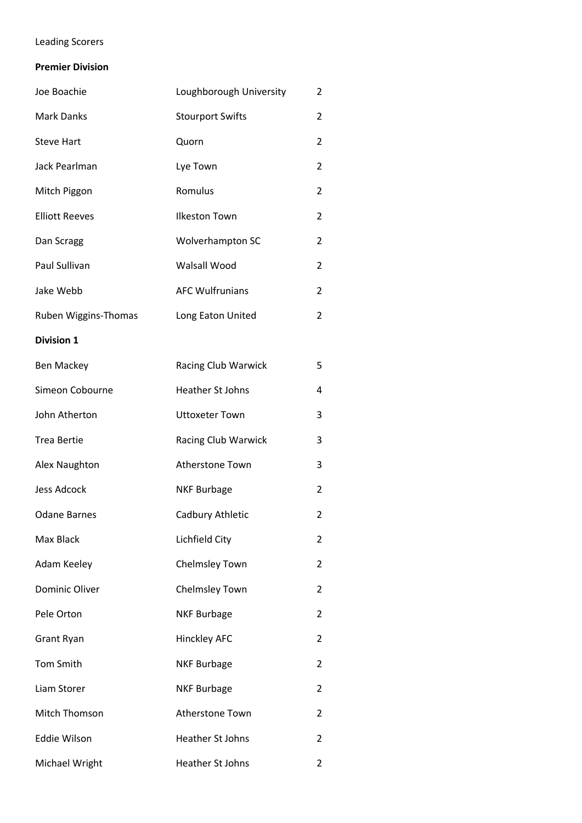# Leading Scorers

### **Premier Division**

| Joe Boachie           | Loughborough University | 2              |
|-----------------------|-------------------------|----------------|
| <b>Mark Danks</b>     | <b>Stourport Swifts</b> | 2              |
| <b>Steve Hart</b>     | Quorn                   | 2              |
| Jack Pearlman         | Lye Town                | 2              |
| Mitch Piggon          | Romulus                 | 2              |
| <b>Elliott Reeves</b> | <b>Ilkeston Town</b>    | 2              |
| Dan Scragg            | Wolverhampton SC        | 2              |
| Paul Sullivan         | Walsall Wood            | 2              |
| Jake Webb             | <b>AFC Wulfrunians</b>  | $\overline{2}$ |
| Ruben Wiggins-Thomas  | Long Eaton United       | 2              |
| <b>Division 1</b>     |                         |                |
| <b>Ben Mackey</b>     | Racing Club Warwick     | 5              |
| Simeon Cobourne       | <b>Heather St Johns</b> | 4              |
| John Atherton         | <b>Uttoxeter Town</b>   | 3              |
| <b>Trea Bertie</b>    | Racing Club Warwick     | 3              |
| Alex Naughton         | Atherstone Town         | 3              |
| <b>Jess Adcock</b>    | <b>NKF Burbage</b>      | 2              |
| <b>Odane Barnes</b>   | Cadbury Athletic        | 2              |
| Max Black             | Lichfield City          | 2              |
| Adam Keeley           | Chelmsley Town          | 2              |
| <b>Dominic Oliver</b> | <b>Chelmsley Town</b>   | 2              |
| Pele Orton            | <b>NKF Burbage</b>      | 2              |
| <b>Grant Ryan</b>     | <b>Hinckley AFC</b>     | 2              |
| <b>Tom Smith</b>      | <b>NKF Burbage</b>      | 2              |
| Liam Storer           | <b>NKF Burbage</b>      | 2              |
| Mitch Thomson         | Atherstone Town         | 2              |
| <b>Eddie Wilson</b>   | <b>Heather St Johns</b> | 2              |
| Michael Wright        | Heather St Johns        | 2              |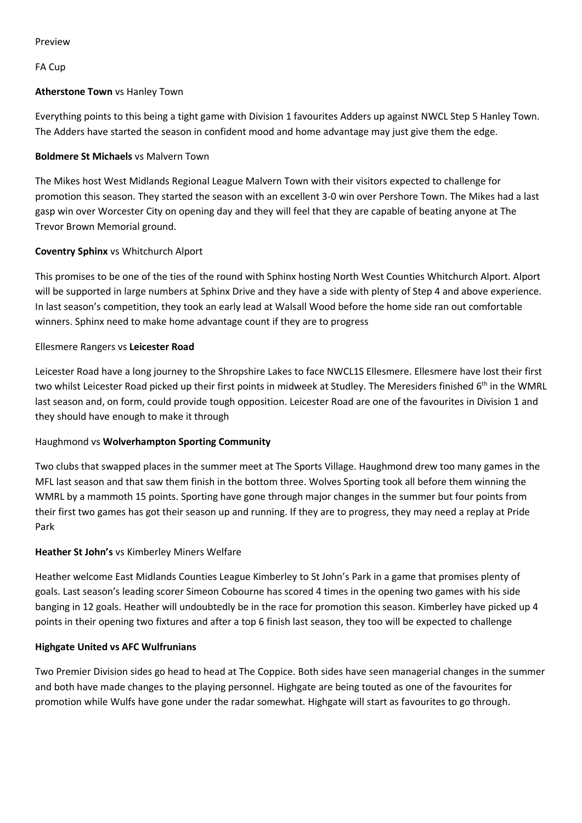#### Preview

# FA Cup

# **Atherstone Town** vs Hanley Town

Everything points to this being a tight game with Division 1 favourites Adders up against NWCL Step 5 Hanley Town. The Adders have started the season in confident mood and home advantage may just give them the edge.

# **Boldmere St Michaels** vs Malvern Town

The Mikes host West Midlands Regional League Malvern Town with their visitors expected to challenge for promotion this season. They started the season with an excellent 3-0 win over Pershore Town. The Mikes had a last gasp win over Worcester City on opening day and they will feel that they are capable of beating anyone at The Trevor Brown Memorial ground.

# **Coventry Sphinx** vs Whitchurch Alport

This promises to be one of the ties of the round with Sphinx hosting North West Counties Whitchurch Alport. Alport will be supported in large numbers at Sphinx Drive and they have a side with plenty of Step 4 and above experience. In last season's competition, they took an early lead at Walsall Wood before the home side ran out comfortable winners. Sphinx need to make home advantage count if they are to progress

# Ellesmere Rangers vs **Leicester Road**

Leicester Road have a long journey to the Shropshire Lakes to face NWCL1S Ellesmere. Ellesmere have lost their first two whilst Leicester Road picked up their first points in midweek at Studley. The Meresiders finished 6<sup>th</sup> in the WMRL last season and, on form, could provide tough opposition. Leicester Road are one of the favourites in Division 1 and they should have enough to make it through

# Haughmond vs **Wolverhampton Sporting Community**

Two clubs that swapped places in the summer meet at The Sports Village. Haughmond drew too many games in the MFL last season and that saw them finish in the bottom three. Wolves Sporting took all before them winning the WMRL by a mammoth 15 points. Sporting have gone through major changes in the summer but four points from their first two games has got their season up and running. If they are to progress, they may need a replay at Pride Park

# **Heather St John's** vs Kimberley Miners Welfare

Heather welcome East Midlands Counties League Kimberley to St John's Park in a game that promises plenty of goals. Last season's leading scorer Simeon Cobourne has scored 4 times in the opening two games with his side banging in 12 goals. Heather will undoubtedly be in the race for promotion this season. Kimberley have picked up 4 points in their opening two fixtures and after a top 6 finish last season, they too will be expected to challenge

# **Highgate United vs AFC Wulfrunians**

Two Premier Division sides go head to head at The Coppice. Both sides have seen managerial changes in the summer and both have made changes to the playing personnel. Highgate are being touted as one of the favourites for promotion while Wulfs have gone under the radar somewhat. Highgate will start as favourites to go through.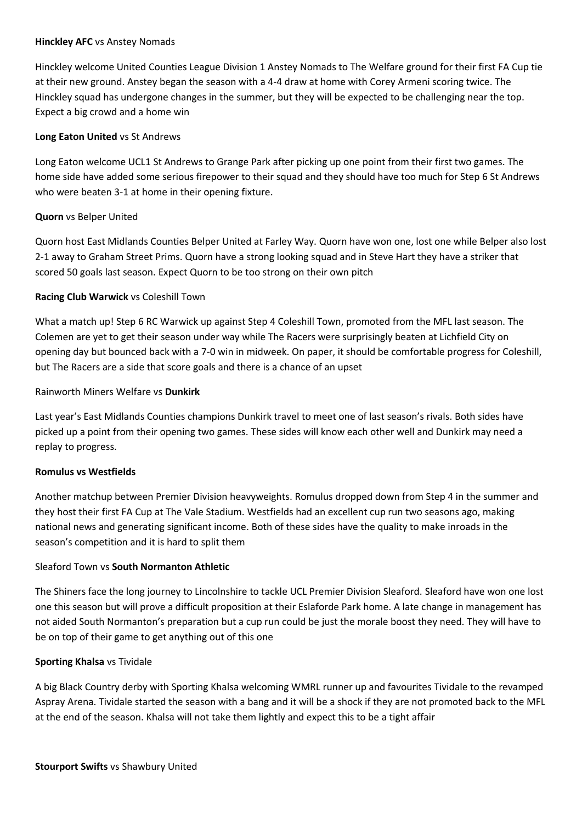#### **Hinckley AFC** vs Anstey Nomads

Hinckley welcome United Counties League Division 1 Anstey Nomads to The Welfare ground for their first FA Cup tie at their new ground. Anstey began the season with a 4-4 draw at home with Corey Armeni scoring twice. The Hinckley squad has undergone changes in the summer, but they will be expected to be challenging near the top. Expect a big crowd and a home win

#### **Long Eaton United** vs St Andrews

Long Eaton welcome UCL1 St Andrews to Grange Park after picking up one point from their first two games. The home side have added some serious firepower to their squad and they should have too much for Step 6 St Andrews who were beaten 3-1 at home in their opening fixture.

#### **Quorn** vs Belper United

Quorn host East Midlands Counties Belper United at Farley Way. Quorn have won one, lost one while Belper also lost 2-1 away to Graham Street Prims. Quorn have a strong looking squad and in Steve Hart they have a striker that scored 50 goals last season. Expect Quorn to be too strong on their own pitch

#### **Racing Club Warwick** vs Coleshill Town

What a match up! Step 6 RC Warwick up against Step 4 Coleshill Town, promoted from the MFL last season. The Colemen are yet to get their season under way while The Racers were surprisingly beaten at Lichfield City on opening day but bounced back with a 7-0 win in midweek. On paper, it should be comfortable progress for Coleshill, but The Racers are a side that score goals and there is a chance of an upset

Rainworth Miners Welfare vs **Dunkirk**

Last year's East Midlands Counties champions Dunkirk travel to meet one of last season's rivals. Both sides have picked up a point from their opening two games. These sides will know each other well and Dunkirk may need a replay to progress.

#### **Romulus vs Westfields**

Another matchup between Premier Division heavyweights. Romulus dropped down from Step 4 in the summer and they host their first FA Cup at The Vale Stadium. Westfields had an excellent cup run two seasons ago, making national news and generating significant income. Both of these sides have the quality to make inroads in the season's competition and it is hard to split them

#### Sleaford Town vs **South Normanton Athletic**

The Shiners face the long journey to Lincolnshire to tackle UCL Premier Division Sleaford. Sleaford have won one lost one this season but will prove a difficult proposition at their Eslaforde Park home. A late change in management has not aided South Normanton's preparation but a cup run could be just the morale boost they need. They will have to be on top of their game to get anything out of this one

#### **Sporting Khalsa** vs Tividale

A big Black Country derby with Sporting Khalsa welcoming WMRL runner up and favourites Tividale to the revamped Aspray Arena. Tividale started the season with a bang and it will be a shock if they are not promoted back to the MFL at the end of the season. Khalsa will not take them lightly and expect this to be a tight affair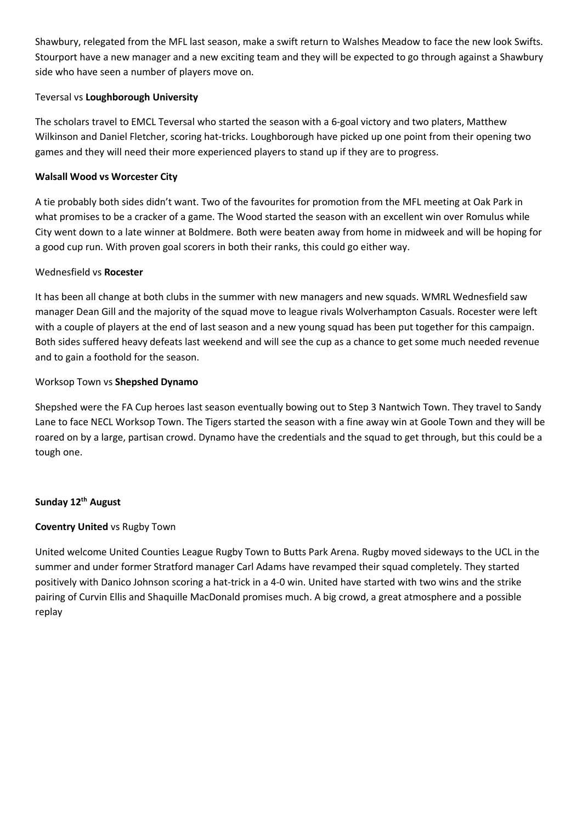Shawbury, relegated from the MFL last season, make a swift return to Walshes Meadow to face the new look Swifts. Stourport have a new manager and a new exciting team and they will be expected to go through against a Shawbury side who have seen a number of players move on.

# Teversal vs **Loughborough University**

The scholars travel to EMCL Teversal who started the season with a 6-goal victory and two platers, Matthew Wilkinson and Daniel Fletcher, scoring hat-tricks. Loughborough have picked up one point from their opening two games and they will need their more experienced players to stand up if they are to progress.

# **Walsall Wood vs Worcester City**

A tie probably both sides didn't want. Two of the favourites for promotion from the MFL meeting at Oak Park in what promises to be a cracker of a game. The Wood started the season with an excellent win over Romulus while City went down to a late winner at Boldmere. Both were beaten away from home in midweek and will be hoping for a good cup run. With proven goal scorers in both their ranks, this could go either way.

# Wednesfield vs **Rocester**

It has been all change at both clubs in the summer with new managers and new squads. WMRL Wednesfield saw manager Dean Gill and the majority of the squad move to league rivals Wolverhampton Casuals. Rocester were left with a couple of players at the end of last season and a new young squad has been put together for this campaign. Both sides suffered heavy defeats last weekend and will see the cup as a chance to get some much needed revenue and to gain a foothold for the season.

# Worksop Town vs **Shepshed Dynamo**

Shepshed were the FA Cup heroes last season eventually bowing out to Step 3 Nantwich Town. They travel to Sandy Lane to face NECL Worksop Town. The Tigers started the season with a fine away win at Goole Town and they will be roared on by a large, partisan crowd. Dynamo have the credentials and the squad to get through, but this could be a tough one.

# **Sunday 12th August**

# **Coventry United** vs Rugby Town

United welcome United Counties League Rugby Town to Butts Park Arena. Rugby moved sideways to the UCL in the summer and under former Stratford manager Carl Adams have revamped their squad completely. They started positively with Danico Johnson scoring a hat-trick in a 4-0 win. United have started with two wins and the strike pairing of Curvin Ellis and Shaquille MacDonald promises much. A big crowd, a great atmosphere and a possible replay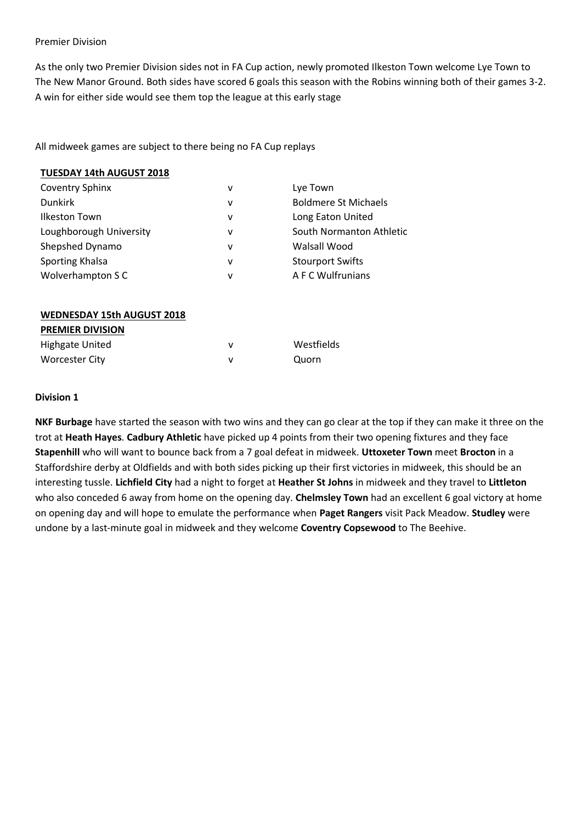#### Premier Division

As the only two Premier Division sides not in FA Cup action, newly promoted Ilkeston Town welcome Lye Town to The New Manor Ground. Both sides have scored 6 goals this season with the Robins winning both of their games 3-2. A win for either side would see them top the league at this early stage

All midweek games are subject to there being no FA Cup replays

| <b>TUESDAY 14th AUGUST 2018</b>   |   |                             |
|-----------------------------------|---|-----------------------------|
| <b>Coventry Sphinx</b>            | v | Lye Town                    |
| <b>Dunkirk</b>                    | v | <b>Boldmere St Michaels</b> |
| <b>Ilkeston Town</b>              | v | Long Eaton United           |
| Loughborough University           | v | South Normanton Athletic    |
| Shepshed Dynamo                   | v | Walsall Wood                |
| Sporting Khalsa                   | v | <b>Stourport Swifts</b>     |
| Wolverhampton S C                 | v | A F C Wulfrunians           |
|                                   |   |                             |
| <b>WEDNESDAY 15th AUGUST 2018</b> |   |                             |
| <b>PREMIER DIVISION</b>           |   |                             |
| <b>Highgate United</b>            | v | Westfields                  |
| <b>Worcester City</b>             | v | Quorn                       |

#### **Division 1**

**NKF Burbage** have started the season with two wins and they can go clear at the top if they can make it three on the trot at **Heath Hayes**. **Cadbury Athletic** have picked up 4 points from their two opening fixtures and they face **Stapenhill** who will want to bounce back from a 7 goal defeat in midweek. **Uttoxeter Town** meet **Brocton** in a Staffordshire derby at Oldfields and with both sides picking up their first victories in midweek, this should be an interesting tussle. **Lichfield City** had a night to forget at **Heather St Johns** in midweek and they travel to **Littleton** who also conceded 6 away from home on the opening day. **Chelmsley Town** had an excellent 6 goal victory at home on opening day and will hope to emulate the performance when **Paget Rangers** visit Pack Meadow. **Studley** were undone by a last-minute goal in midweek and they welcome **Coventry Copsewood** to The Beehive.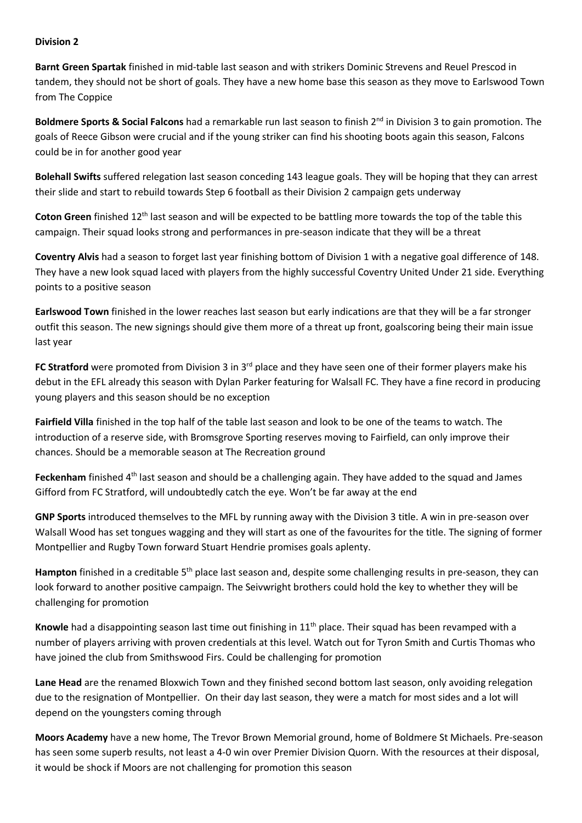#### **Division 2**

**Barnt Green Spartak** finished in mid-table last season and with strikers Dominic Strevens and Reuel Prescod in tandem, they should not be short of goals. They have a new home base this season as they move to Earlswood Town from The Coppice

**Boldmere Sports & Social Falcons** had a remarkable run last season to finish 2<sup>nd</sup> in Division 3 to gain promotion. The goals of Reece Gibson were crucial and if the young striker can find his shooting boots again this season, Falcons could be in for another good year

**Bolehall Swifts** suffered relegation last season conceding 143 league goals. They will be hoping that they can arrest their slide and start to rebuild towards Step 6 football as their Division 2 campaign gets underway

**Coton Green** finished 12th last season and will be expected to be battling more towards the top of the table this campaign. Their squad looks strong and performances in pre-season indicate that they will be a threat

**Coventry Alvis** had a season to forget last year finishing bottom of Division 1 with a negative goal difference of 148. They have a new look squad laced with players from the highly successful Coventry United Under 21 side. Everything points to a positive season

**Earlswood Town** finished in the lower reaches last season but early indications are that they will be a far stronger outfit this season. The new signings should give them more of a threat up front, goalscoring being their main issue last year

**FC Stratford** were promoted from Division 3 in 3<sup>rd</sup> place and they have seen one of their former players make his debut in the EFL already this season with Dylan Parker featuring for Walsall FC. They have a fine record in producing young players and this season should be no exception

**Fairfield Villa** finished in the top half of the table last season and look to be one of the teams to watch. The introduction of a reserve side, with Bromsgrove Sporting reserves moving to Fairfield, can only improve their chances. Should be a memorable season at The Recreation ground

**Feckenham** finished 4<sup>th</sup> last season and should be a challenging again. They have added to the squad and James Gifford from FC Stratford, will undoubtedly catch the eye. Won't be far away at the end

**GNP Sports** introduced themselves to the MFL by running away with the Division 3 title. A win in pre-season over Walsall Wood has set tongues wagging and they will start as one of the favourites for the title. The signing of former Montpellier and Rugby Town forward Stuart Hendrie promises goals aplenty.

Hampton finished in a creditable 5<sup>th</sup> place last season and, despite some challenging results in pre-season, they can look forward to another positive campaign. The Seivwright brothers could hold the key to whether they will be challenging for promotion

**Knowle** had a disappointing season last time out finishing in 11th place. Their squad has been revamped with a number of players arriving with proven credentials at this level. Watch out for Tyron Smith and Curtis Thomas who have joined the club from Smithswood Firs. Could be challenging for promotion

**Lane Head** are the renamed Bloxwich Town and they finished second bottom last season, only avoiding relegation due to the resignation of Montpellier. On their day last season, they were a match for most sides and a lot will depend on the youngsters coming through

**Moors Academy** have a new home, The Trevor Brown Memorial ground, home of Boldmere St Michaels. Pre-season has seen some superb results, not least a 4-0 win over Premier Division Quorn. With the resources at their disposal, it would be shock if Moors are not challenging for promotion this season